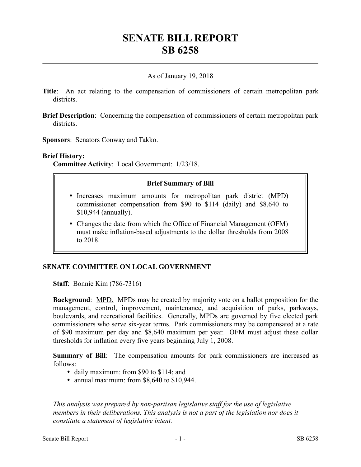# **SENATE BILL REPORT SB 6258**

## As of January 19, 2018

- **Title**: An act relating to the compensation of commissioners of certain metropolitan park districts.
- **Brief Description**: Concerning the compensation of commissioners of certain metropolitan park districts.
- **Sponsors**: Senators Conway and Takko.

#### **Brief History:**

**Committee Activity**: Local Government: 1/23/18.

#### **Brief Summary of Bill**

- Increases maximum amounts for metropolitan park district (MPD) commissioner compensation from \$90 to \$114 (daily) and \$8,640 to \$10,944 (annually).
- Changes the date from which the Office of Financial Management (OFM) must make inflation-based adjustments to the dollar thresholds from 2008 to 2018.

### **SENATE COMMITTEE ON LOCAL GOVERNMENT**

**Staff**: Bonnie Kim (786-7316)

**Background:** MPD. MPDs may be created by majority vote on a ballot proposition for the management, control, improvement, maintenance, and acquisition of parks, parkways, boulevards, and recreational facilities. Generally, MPDs are governed by five elected park commissioners who serve six-year terms. Park commissioners may be compensated at a rate of \$90 maximum per day and \$8,640 maximum per year. OFM must adjust these dollar thresholds for inflation every five years beginning July 1, 2008.

**Summary of Bill**: The compensation amounts for park commissioners are increased as follows:

- daily maximum: from \$90 to \$114; and
- annual maximum: from \$8,640 to \$10,944.

––––––––––––––––––––––

*This analysis was prepared by non-partisan legislative staff for the use of legislative members in their deliberations. This analysis is not a part of the legislation nor does it constitute a statement of legislative intent.*